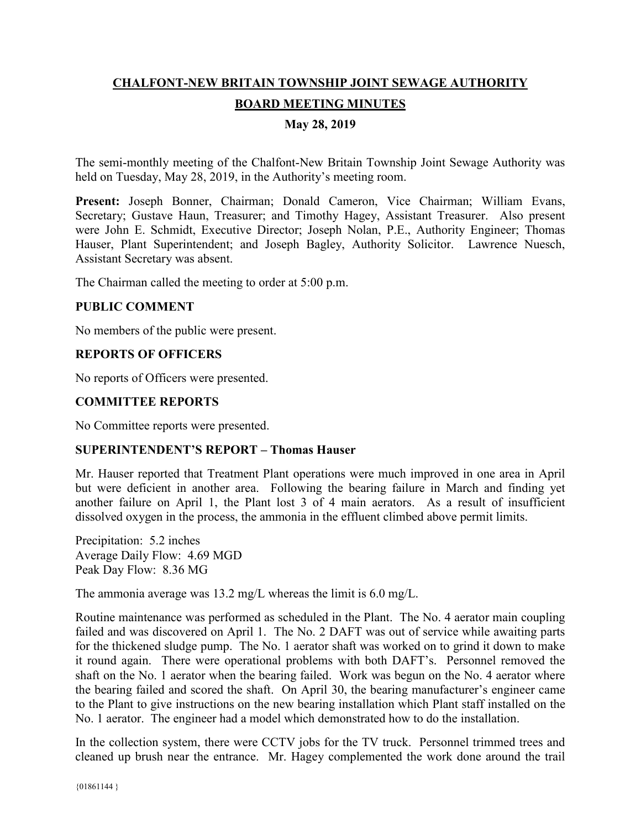# **CHALFONT-NEW BRITAIN TOWNSHIP JOINT SEWAGE AUTHORITY BOARD MEETING MINUTES**

## **May 28, 2019**

The semi-monthly meeting of the Chalfont-New Britain Township Joint Sewage Authority was held on Tuesday, May 28, 2019, in the Authority's meeting room.

**Present:** Joseph Bonner, Chairman; Donald Cameron, Vice Chairman; William Evans, Secretary; Gustave Haun, Treasurer; and Timothy Hagey, Assistant Treasurer. Also present were John E. Schmidt, Executive Director; Joseph Nolan, P.E., Authority Engineer; Thomas Hauser, Plant Superintendent; and Joseph Bagley, Authority Solicitor. Lawrence Nuesch, Assistant Secretary was absent.

The Chairman called the meeting to order at 5:00 p.m.

#### **PUBLIC COMMENT**

No members of the public were present.

## **REPORTS OF OFFICERS**

No reports of Officers were presented.

#### **COMMITTEE REPORTS**

No Committee reports were presented.

#### **SUPERINTENDENT'S REPORT – Thomas Hauser**

Mr. Hauser reported that Treatment Plant operations were much improved in one area in April but were deficient in another area. Following the bearing failure in March and finding yet another failure on April 1, the Plant lost 3 of 4 main aerators. As a result of insufficient dissolved oxygen in the process, the ammonia in the effluent climbed above permit limits.

Precipitation: 5.2 inches Average Daily Flow: 4.69 MGD Peak Day Flow: 8.36 MG

The ammonia average was 13.2 mg/L whereas the limit is 6.0 mg/L.

Routine maintenance was performed as scheduled in the Plant. The No. 4 aerator main coupling failed and was discovered on April 1. The No. 2 DAFT was out of service while awaiting parts for the thickened sludge pump. The No. 1 aerator shaft was worked on to grind it down to make it round again. There were operational problems with both DAFT's. Personnel removed the shaft on the No. 1 aerator when the bearing failed. Work was begun on the No. 4 aerator where the bearing failed and scored the shaft. On April 30, the bearing manufacturer's engineer came to the Plant to give instructions on the new bearing installation which Plant staff installed on the No. 1 aerator. The engineer had a model which demonstrated how to do the installation.

In the collection system, there were CCTV jobs for the TV truck. Personnel trimmed trees and cleaned up brush near the entrance. Mr. Hagey complemented the work done around the trail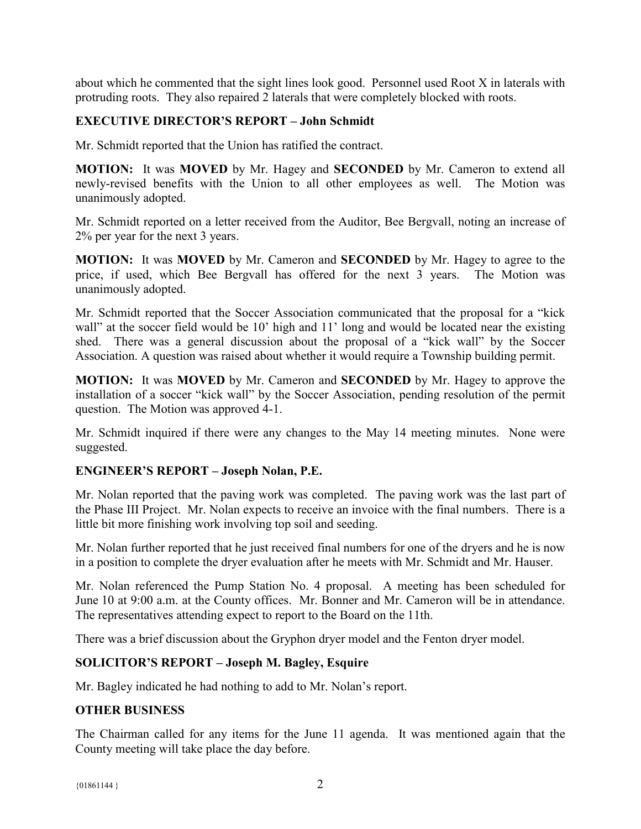about which he commented that the sight lines look good. Personnel used Root X in laterals with protruding roots. They also repaired 2 laterals that were completely blocked with roots.

## **EXECUTIVE DIRECTOR'S REPORT – John Schmidt**

Mr. Schmidt reported that the Union has ratified the contract.

**MOTION:** It was **MOVED** by Mr. Hagey and **SECONDED** by Mr. Cameron to extend all newly-revised benefits with the Union to all other employees as well. The Motion was unanimously adopted.

Mr. Schmidt reported on a letter received from the Auditor, Bee Bergvall, noting an increase of 2% per year for the next 3 years.

**MOTION:** It was **MOVED** by Mr. Cameron and **SECONDED** by Mr. Hagey to agree to the price, if used, which Bee Bergvall has offered for the next 3 years. The Motion was unanimously adopted.

Mr. Schmidt reported that the Soccer Association communicated that the proposal for a "kick wall" at the soccer field would be 10' high and 11' long and would be located near the existing shed. There was a general discussion about the proposal of a "kick wall" by the Soccer Association. A question was raised about whether it would require a Township building permit.

**MOTION:** It was **MOVED** by Mr. Cameron and **SECONDED** by Mr. Hagey to approve the installation of a soccer "kick wall" by the Soccer Association, pending resolution of the permit question. The Motion was approved 4-1.

Mr. Schmidt inquired if there were any changes to the May 14 meeting minutes. None were suggested.

#### **ENGINEER'S REPORT – Joseph Nolan, P.E.**

Mr. Nolan reported that the paving work was completed. The paving work was the last part of the Phase III Project. Mr. Nolan expects to receive an invoice with the final numbers. There is a little bit more finishing work involving top soil and seeding.

Mr. Nolan further reported that he just received final numbers for one of the dryers and he is now in a position to complete the dryer evaluation after he meets with Mr. Schmidt and Mr. Hauser.

Mr. Nolan referenced the Pump Station No. 4 proposal. A meeting has been scheduled for June 10 at 9:00 a.m. at the County offices. Mr. Bonner and Mr. Cameron will be in attendance. The representatives attending expect to report to the Board on the 11th.

There was a brief discussion about the Gryphon dryer model and the Fenton dryer model.

#### **SOLICITOR'S REPORT – Joseph M. Bagley, Esquire**

Mr. Bagley indicated he had nothing to add to Mr. Nolan's report.

#### **OTHER BUSINESS**

The Chairman called for any items for the June 11 agenda. It was mentioned again that the County meeting will take place the day before.